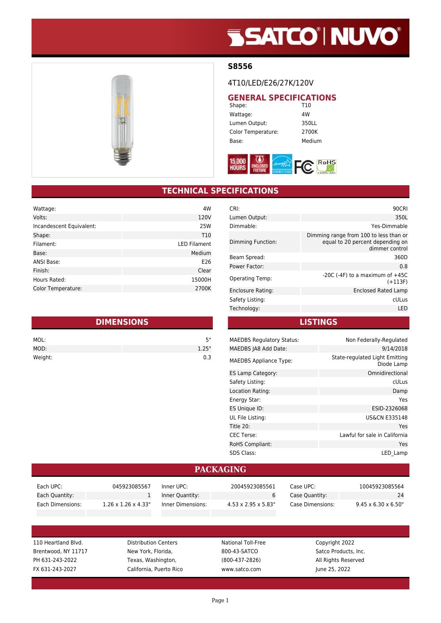# **SSATCO' NUVO'**



#### **S8556**

#### 4T10/LED/E26/27K/120V

#### **GENERAL SPECIFICATIONS**<br>
T10 Shape:

Wattage: 4W Lumen Output: 350LL Color Temperature: 2700K Base: Medium



#### **TECHNICAL SPECIFICATIONS**

| Wattage:                 | 4W                  |
|--------------------------|---------------------|
| Volts:                   | 120V                |
| Incandescent Equivalent: | <b>25W</b>          |
| Shape:                   | T <sub>10</sub>     |
| Filament:                | <b>LED Filament</b> |
| Base:                    | Medium              |
| <b>ANSI Base:</b>        | E26                 |
| Finish:                  | Clear               |
| Hours Rated:             | 15000H              |
| Color Temperature:       | 2700K               |

| <b>DIMENSIONS</b> |       |  |
|-------------------|-------|--|
| MOL:              | 5"    |  |
| MOD:              | 1.25" |  |
| Weight:           | 0.3   |  |

| CRI:                     | 90CRI                                                                                        |
|--------------------------|----------------------------------------------------------------------------------------------|
| Lumen Output:            | 350L                                                                                         |
| Dimmable:                | Yes-Dimmable                                                                                 |
| Dimming Function:        | Dimming range from 100 to less than or<br>equal to 20 percent depending on<br>dimmer control |
| Beam Spread:             | 360D                                                                                         |
| Power Factor:            | 0.8                                                                                          |
| <b>Operating Temp:</b>   | $-20C$ ( $-4F$ ) to a maximum of $+45C$<br>$(+113F)$                                         |
| <b>Enclosure Rating:</b> | Enclosed Rated Lamp                                                                          |
| Safety Listing:          | cULus                                                                                        |
| Technology:              | LED                                                                                          |
|                          |                                                                                              |

**LISTINGS**

| <b>MAEDBS Regulatory Status:</b> | Non Federally-Regulated                      |
|----------------------------------|----------------------------------------------|
| MAEDBS JA8 Add Date:             | 9/14/2018                                    |
| <b>MAEDBS Appliance Type:</b>    | State-regulated Light Emitting<br>Diode Lamp |
| ES Lamp Category:                | Omnidirectional                              |
| Safety Listing:                  | cULus                                        |
| Location Rating:                 | Damp                                         |
| Energy Star:                     | Yes                                          |
| ES Unique ID:                    | ESID-2326068                                 |
| UL File Listing:                 | <b>US&amp;CN E335148</b>                     |
| Title 20:                        | Yes                                          |
| <b>CEC Terse:</b>                | Lawful for sale in California                |
| RoHS Compliant:                  | Yes                                          |
| <b>SDS Class:</b>                | LED Lamp                                     |

#### **PACKAGING**

| Each UPC:        | 045923085567                     | Inner UPC:        | 20045923085561                   | Case UPC: .      | 10045923085564                   |
|------------------|----------------------------------|-------------------|----------------------------------|------------------|----------------------------------|
| Each Quantity:   |                                  | Inner Quantity:   |                                  | Case Quantity:   | 24                               |
| Each Dimensions: | $1.26 \times 1.26 \times 4.33$ " | Inner Dimensions: | $4.53 \times 2.95 \times 5.83$ " | Case Dimensions: | $9.45 \times 6.30 \times 6.50$ " |

110 Heartland Blvd. Distribution Centers National Toll-Free Copyright 2022 Brentwood, NY 11717 New York, Florida, 800-43-SATCO Satco Products, Inc. PH 631-243-2022 Texas, Washington, (800-437-2826) All Rights Reserved FX 631-243-2027 California, Puerto Rico www.satco.com June 25, 2022